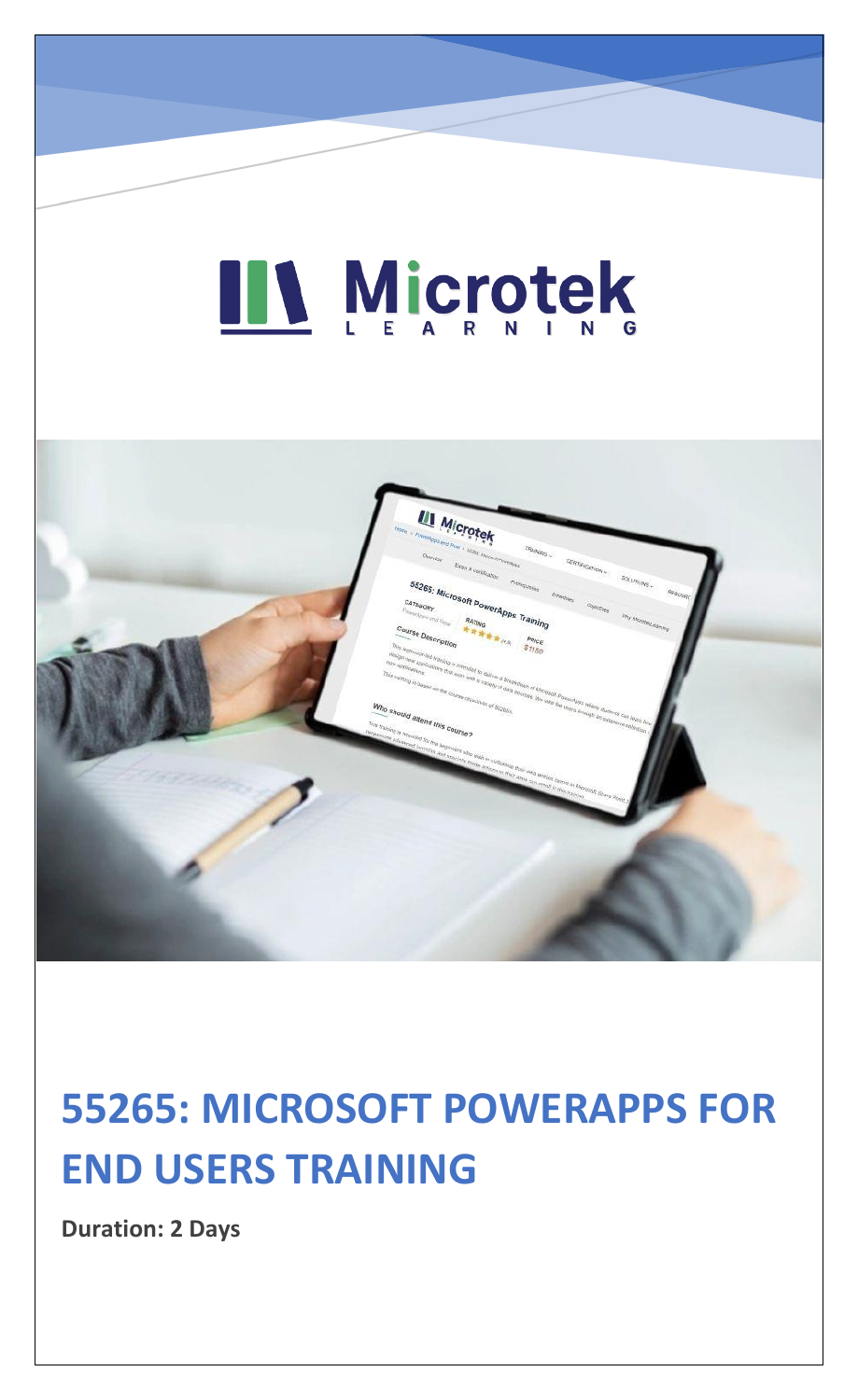# LI Microtek



### **55265: MICROSOFT POWERAPPS FOR END USERS TRAINING**

**Duration: 2 Days**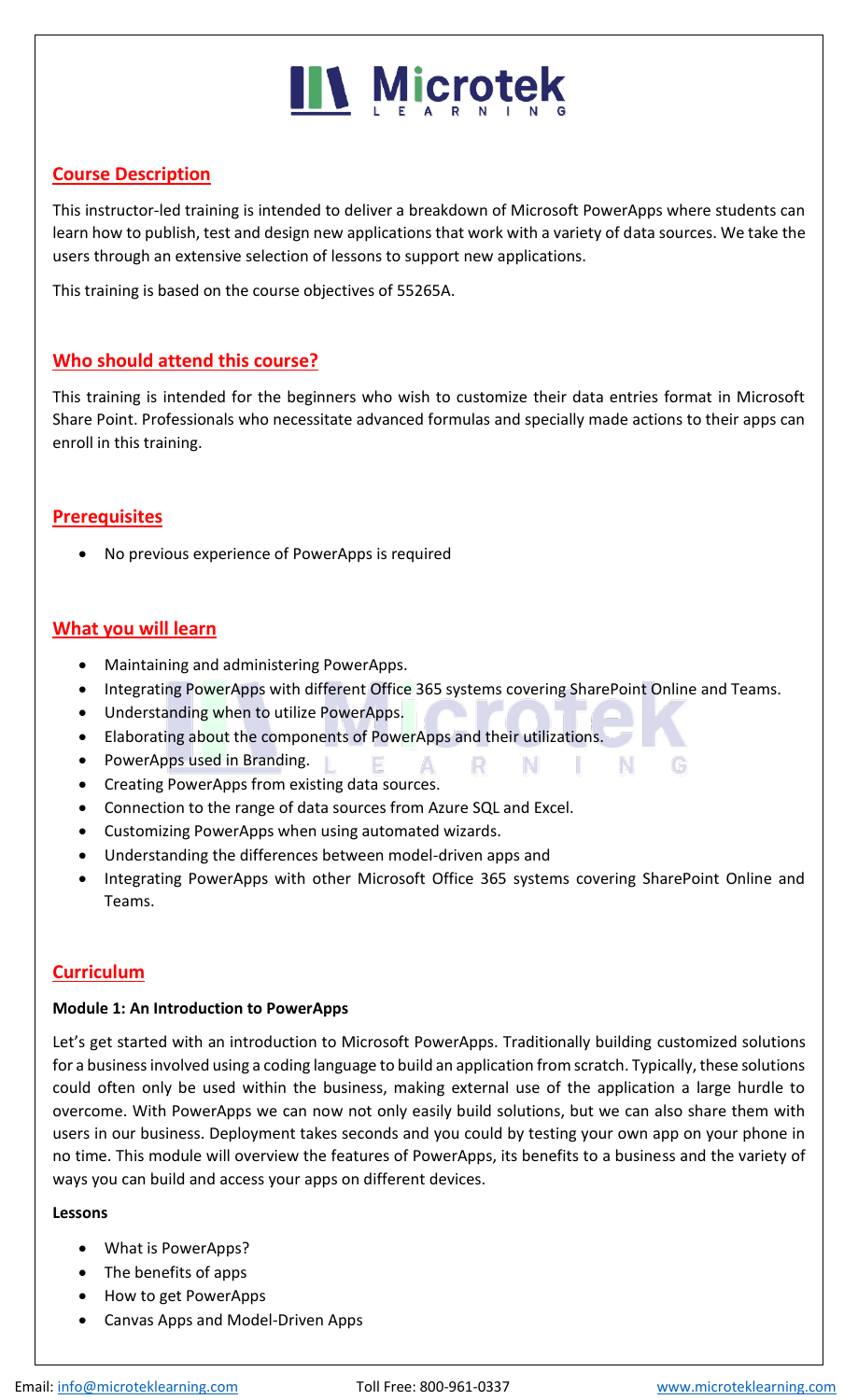## **IIV Microtek**

#### **Course Description**

This instructor-led training is intended to deliver a breakdown of Microsoft PowerApps where students can learn how to publish, test and design new applications that work with a variety of data sources. We take the users through an extensive selection of lessons to support new applications.

This training is based on the course objectives of 55265A.

#### **Who should attend this course?**

This training is intended for the beginners who wish to customize their data entries format in Microsoft Share Point. Professionals who necessitate advanced formulas and specially made actions to their apps can enroll in this training.

#### **Prerequisites**

• No previous experience of PowerApps is required

#### **What you will learn**

- Maintaining and administering PowerApps.
- Integrating PowerApps with different Office 365 systems covering SharePoint Online and Teams.

 $\mathbf{A}$ 

R.

- N

- Understanding when to utilize PowerApps.
- Elaborating about the components of PowerApps and their utilizations.

F.

- PowerApps used in Branding.
- Creating PowerApps from existing data sources.
- Connection to the range of data sources from Azure SQL and Excel.
- Customizing PowerApps when using automated wizards.
- Understanding the differences between model-driven apps and
- Integrating PowerApps with other Microsoft Office 365 systems covering SharePoint Online and Teams.

N.

a ba

#### **Curriculum**

#### **Module 1: An Introduction to PowerApps**

Let's get started with an introduction to Microsoft PowerApps. Traditionally building customized solutions for a business involved using a coding language to build an application from scratch. Typically, these solutions could often only be used within the business, making external use of the application a large hurdle to overcome. With PowerApps we can now not only easily build solutions, but we can also share them with users in our business. Deployment takes seconds and you could by testing your own app on your phone in no time. This module will overview the features of PowerApps, its benefits to a business and the variety of ways you can build and access your apps on different devices.

#### **Lessons**

- What is PowerApps?
- The benefits of apps
- How to get PowerApps
- Canvas Apps and Model-Driven Apps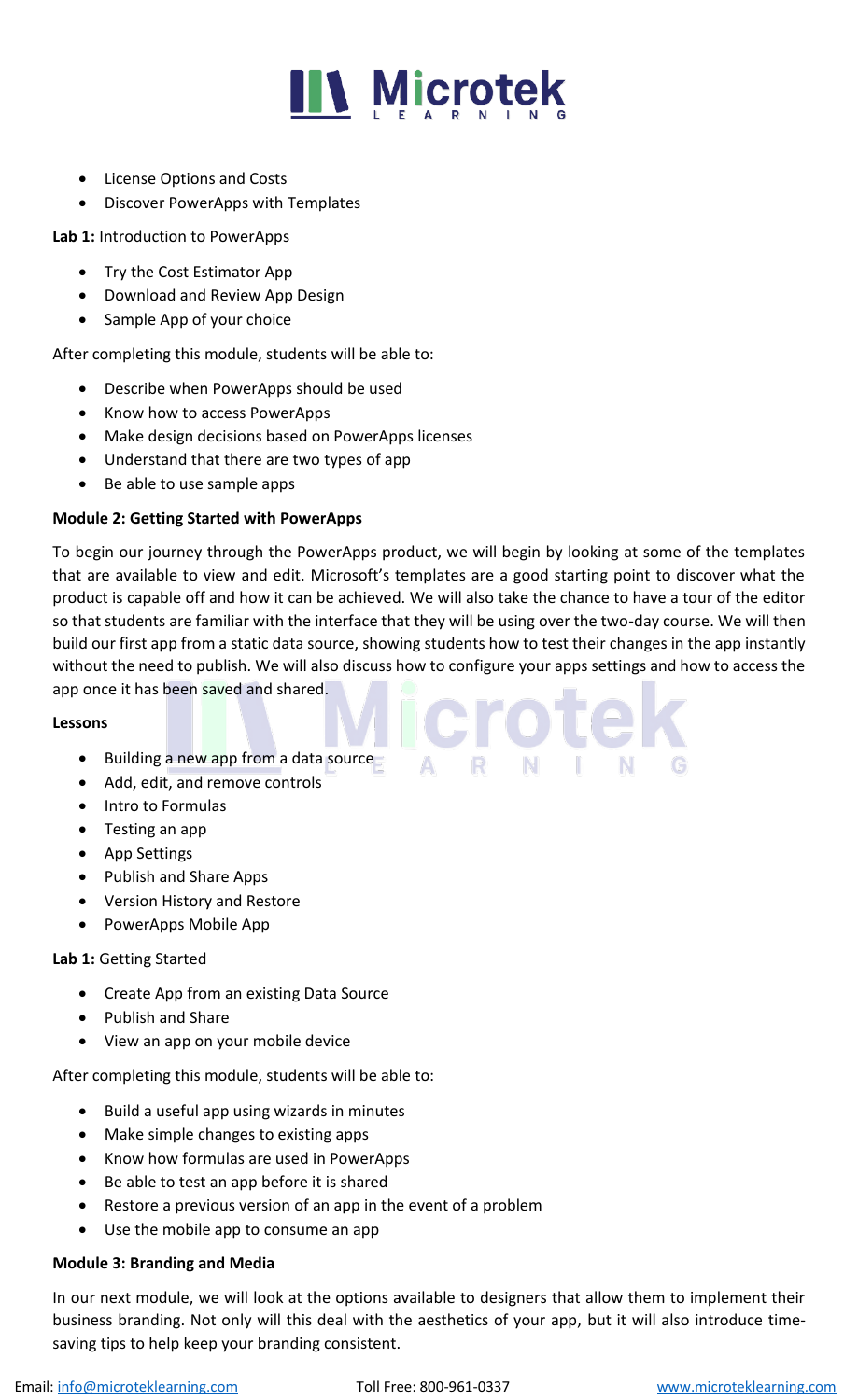

- License Options and Costs
- Discover PowerApps with Templates

**Lab 1:** Introduction to PowerApps

- Try the Cost Estimator App
- Download and Review App Design
- Sample App of your choice

After completing this module, students will be able to:

- Describe when PowerApps should be used
- Know how to access PowerApps
- Make design decisions based on PowerApps licenses
- Understand that there are two types of app
- Be able to use sample apps

#### **Module 2: Getting Started with PowerApps**

To begin our journey through the PowerApps product, we will begin by looking at some of the templates that are available to view and edit. Microsoft's templates are a good starting point to discover what the product is capable off and how it can be achieved. We will also take the chance to have a tour of the editor so that students are familiar with the interface that they will be using over the two-day course. We will then build our first app from a static data source, showing students how to test their changes in the app instantly without the need to publish. We will also discuss how to configure your apps settings and how to access the app once it has been saved and shared.

#### **Lessons**

- Building a new app from a data source
- Add, edit, and remove controls
- Intro to Formulas
- Testing an app
- App Settings
- Publish and Share Apps
- Version History and Restore
- PowerApps Mobile App

#### **Lab 1:** Getting Started

- Create App from an existing Data Source
- Publish and Share
- View an app on your mobile device

After completing this module, students will be able to:

- Build a useful app using wizards in minutes
- Make simple changes to existing apps
- Know how formulas are used in PowerApps
- Be able to test an app before it is shared
- Restore a previous version of an app in the event of a problem
- Use the mobile app to consume an app

#### **Module 3: Branding and Media**

In our next module, we will look at the options available to designers that allow them to implement their business branding. Not only will this deal with the aesthetics of your app, but it will also introduce timesaving tips to help keep your branding consistent.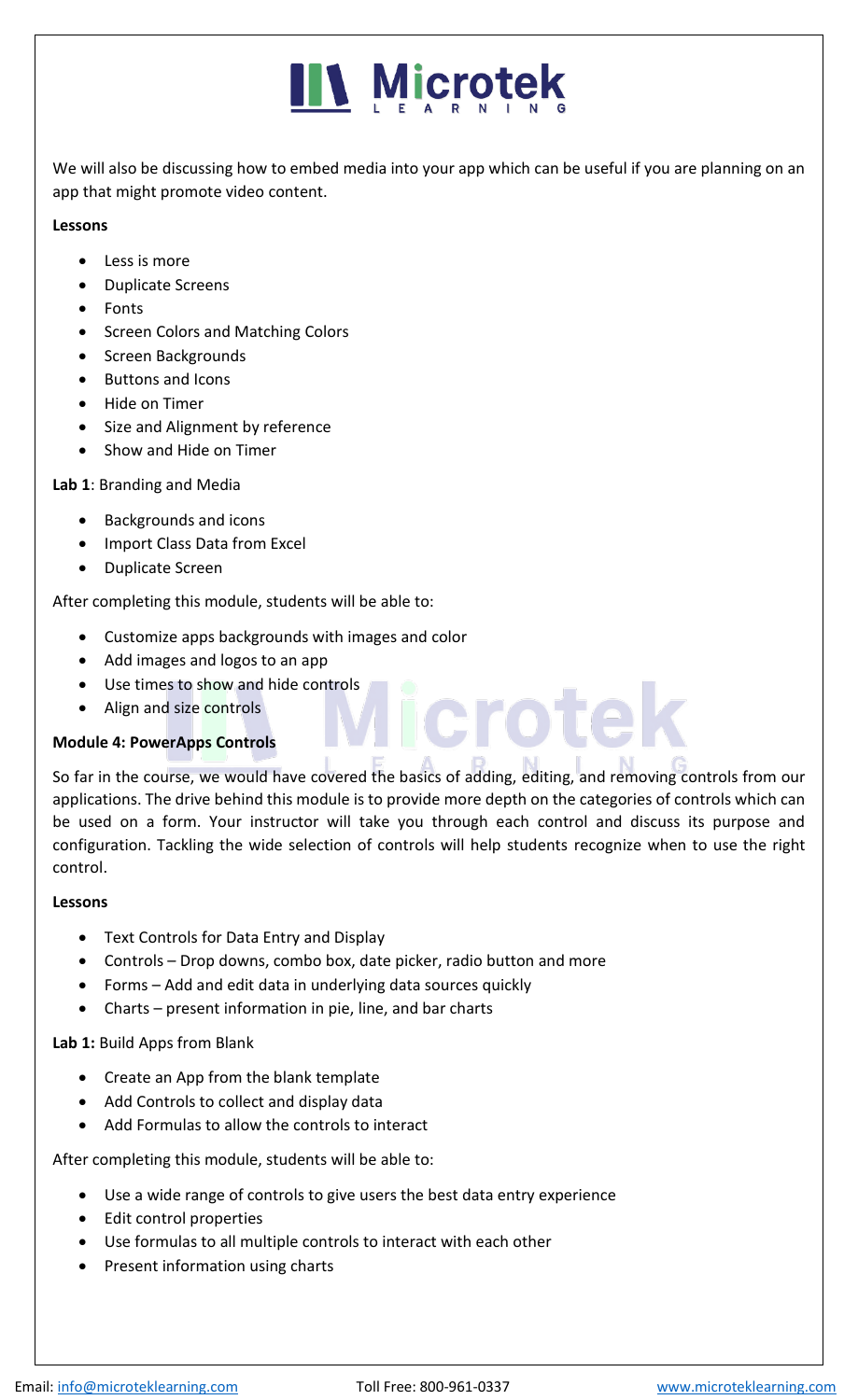

We will also be discussing how to embed media into your app which can be useful if you are planning on an app that might promote video content.

#### **Lessons**

- Less is more
- Duplicate Screens
- Fonts
- Screen Colors and Matching Colors
- Screen Backgrounds
- Buttons and Icons
- Hide on Timer
- Size and Alignment by reference
- Show and Hide on Timer

#### **Lab 1**: Branding and Media

- Backgrounds and icons
- Import Class Data from Excel
- Duplicate Screen

After completing this module, students will be able to:

- Customize apps backgrounds with images and color
- Add images and logos to an app
- Use times to show and hide controls
- Align and size controls

#### **Module 4: PowerApps Controls**

So far in the course, we would have covered the basics of adding, editing, and removing controls from our applications. The drive behind this module is to provide more depth on the categories of controls which can be used on a form. Your instructor will take you through each control and discuss its purpose and configuration. Tackling the wide selection of controls will help students recognize when to use the right control.

**Icrotel** 

#### **Lessons**

- Text Controls for Data Entry and Display
- Controls Drop downs, combo box, date picker, radio button and more
- Forms Add and edit data in underlying data sources quickly
- Charts present information in pie, line, and bar charts

#### **Lab 1:** Build Apps from Blank

- Create an App from the blank template
- Add Controls to collect and display data
- Add Formulas to allow the controls to interact

After completing this module, students will be able to:

- Use a wide range of controls to give users the best data entry experience
- Edit control properties
- Use formulas to all multiple controls to interact with each other
- Present information using charts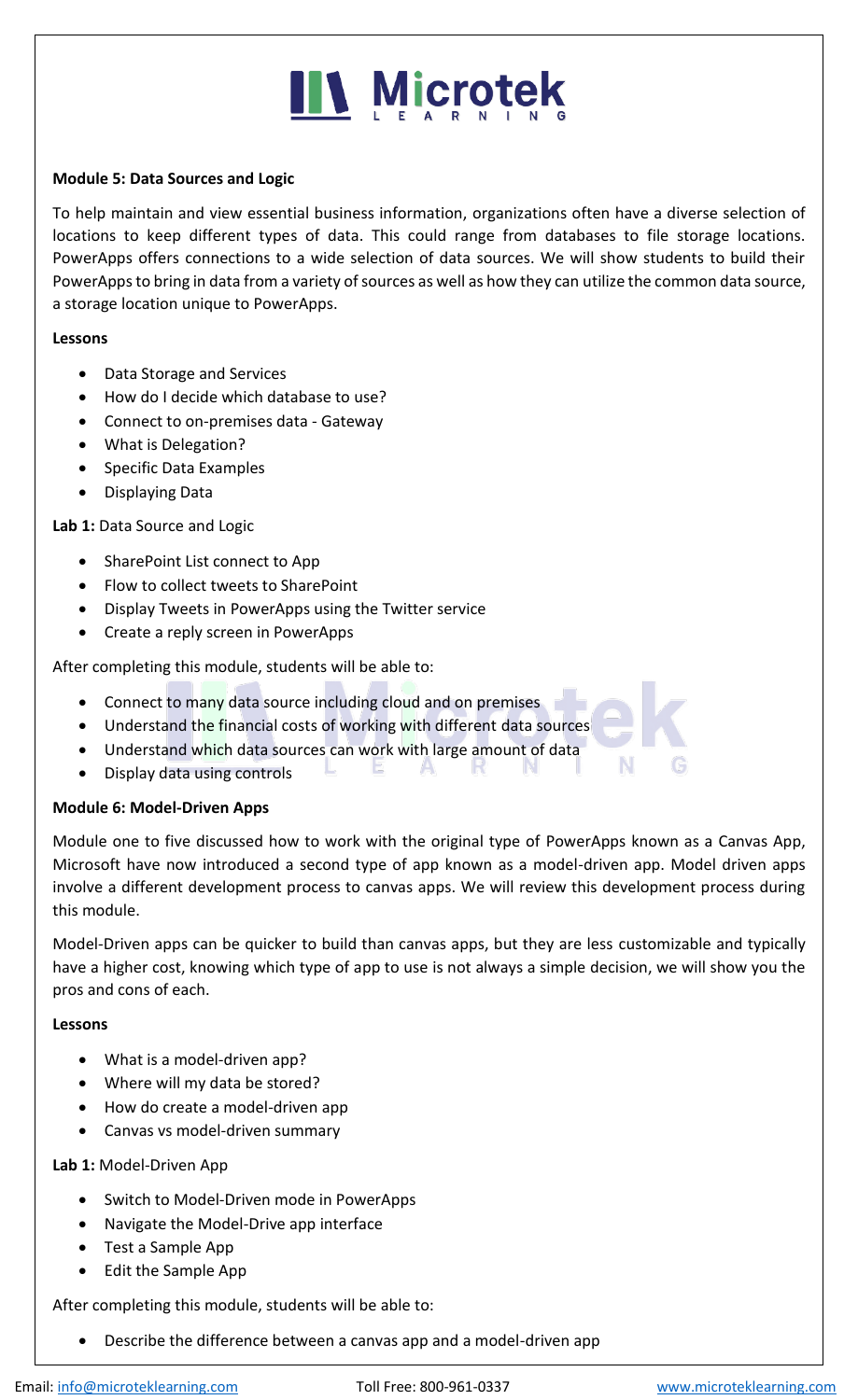## **N** Microtek

#### **Module 5: Data Sources and Logic**

To help maintain and view essential business information, organizations often have a diverse selection of locations to keep different types of data. This could range from databases to file storage locations. PowerApps offers connections to a wide selection of data sources. We will show students to build their PowerApps to bring in data from a variety of sources as well as how they can utilize the common data source, a storage location unique to PowerApps.

#### **Lessons**

- Data Storage and Services
- How do I decide which database to use?
- Connect to on-premises data Gateway
- What is Delegation?
- Specific Data Examples
- Displaying Data

#### **Lab 1:** Data Source and Logic

- SharePoint List connect to App
- Flow to collect tweets to SharePoint
- Display Tweets in PowerApps using the Twitter service
- Create a reply screen in PowerApps

After completing this module, students will be able to:

- Connect to many data source including cloud and on premises
- Understand the financial costs of working with different data sources
- Understand which data sources can work with large amount of data
- Display data using controls

#### **Module 6: Model-Driven Apps**

Module one to five discussed how to work with the original type of PowerApps known as a Canvas App, Microsoft have now introduced a second type of app known as a model-driven app. Model driven apps involve a different development process to canvas apps. We will review this development process during this module.

А

Model-Driven apps can be quicker to build than canvas apps, but they are less customizable and typically have a higher cost, knowing which type of app to use is not always a simple decision, we will show you the pros and cons of each.

#### **Lessons**

- What is a model-driven app?
- Where will my data be stored?
- How do create a model-driven app
- Canvas vs model-driven summary

#### **Lab 1:** Model-Driven App

- Switch to Model-Driven mode in PowerApps
- Navigate the Model-Drive app interface
- Test a Sample App
- Edit the Sample App

After completing this module, students will be able to:

• Describe the difference between a canvas app and a model-driven app